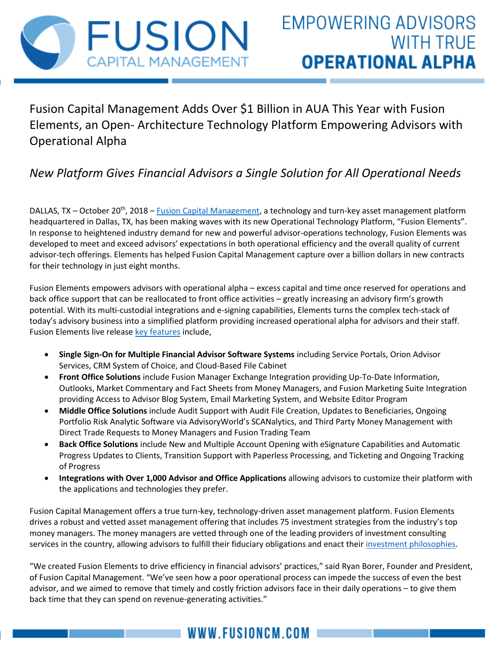

Fusion Capital Management Adds Over \$1 Billion in AUA This Year with Fusion Elements, an Open- Architecture Technology Platform Empowering Advisors with Operational Alpha

## *New Platform Gives Financial Advisors a Single Solution for All Operational Needs*

DALLAS, TX – October 20<sup>th</sup>, 2018 – Eusion Capital Management, a technology and turn-key asset management platform headquartered in Dallas, TX, has been making waves with its new Operational Technology Platform, "Fusion Elements". In response to heightened industry demand for new and powerful advisor-operations technology, Fusion Elements was developed to meet and exceed advisors' expectations in both operational efficiency and the overall quality of current advisor-tech offerings. Elements has helped Fusion Capital Management capture over a billion dollars in new contracts for their technology in just eight months.

Fusion Elements empowers advisors with operational alpha – excess capital and time once reserved for operations and back office support that can be reallocated to front office activities – greatly increasing an advisory firm's growth potential. With its multi-custodial integrations and e-signing capabilities, Elements turns the complex tech-stack of today's advisory business into a simplified platform providing increased operational alpha for advisors and their staff. Fusion Elements live release [key features](https://www.fusioncm.com/inside-elements) include,

- **Single Sign-On for Multiple Financial Advisor Software Systems** including Service Portals, Orion Advisor Services, CRM System of Choice, and Cloud-Based File Cabinet
- **Front Office Solutions** include Fusion Manager Exchange Integration providing Up-To-Date Information, Outlooks, Market Commentary and Fact Sheets from Money Managers, and Fusion Marketing Suite Integration providing Access to Advisor Blog System, Email Marketing System, and Website Editor Program
- **Middle Office Solutions** include Audit Support with Audit File Creation, Updates to Beneficiaries, Ongoing Portfolio Risk Analytic Software via AdvisoryWorld's SCANalytics, and Third Party Money Management with Direct Trade Requests to Money Managers and Fusion Trading Team
- **Back Office Solutions** include New and Multiple Account Opening with eSignature Capabilities and Automatic Progress Updates to Clients, Transition Support with Paperless Processing, and Ticketing and Ongoing Tracking of Progress
- **Integrations with Over 1,000 Advisor and Office Applications** allowing advisors to customize their platform with the applications and technologies they prefer.

Fusion Capital Management offers a true turn-key, technology-driven asset management platform. Fusion Elements drives a robust and vetted asset management offering that includes 75 investment strategies from the industry's top money managers. The money managers are vetted through one of the leading providers of investment consulting services in the country, allowing advisors to fulfill their fiduciary obligations and enact their [investment philosophies.](https://www.fusioncm.com/single-post/2018/02/26/Is-Your-Investment-Philosophy-Taking-Punches)

"We created Fusion Elements to drive efficiency in financial advisors' practices," said Ryan Borer, Founder and President, of Fusion Capital Management. "We've seen how a poor operational process can impede the success of even the best advisor, and we aimed to remove that timely and costly friction advisors face in their daily operations – to give them back time that they can spend on revenue-generating activities."

## WWW.FUSIONCM.COM